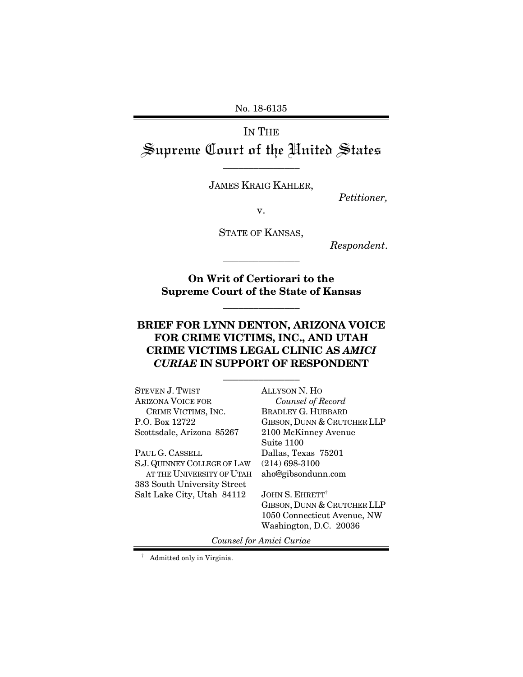No. 18-6135

## IN THE Supreme Court of the United States \_\_\_\_\_\_\_\_\_\_\_\_\_\_\_

JAMES KRAIG KAHLER,

*Petitioner,* 

v.

STATE OF KANSAS,

*Respondent*.

**On Writ of Certiorari to the Supreme Court of the State of Kansas** 

\_\_\_\_\_\_\_\_\_\_\_\_\_\_\_

\_\_\_\_\_\_\_\_\_\_\_\_\_\_\_

### **BRIEF FOR LYNN DENTON, ARIZONA VOICE FOR CRIME VICTIMS, INC., AND UTAH CRIME VICTIMS LEGAL CLINIC AS** *AMICI CURIAE* **IN SUPPORT OF RESPONDENT**

\_\_\_\_\_\_\_\_\_\_\_\_\_\_\_

| STEVEN J. TWIST             | <b>ALLYSON N. HO</b>               |
|-----------------------------|------------------------------------|
| Arizona Voice for           | Counsel of Record                  |
| CRIME VICTIMS, INC.         | <b>BRADLEY G. HUBBARD</b>          |
| P.O. Box 12722              | GIBSON, DUNN & CRUTCHER LLP        |
| Scottsdale, Arizona 85267   | 2100 McKinney Avenue               |
|                             | Suite 1100                         |
| Paul G. Cassell             | Dallas, Texas 75201                |
| S.J. QUINNEY COLLEGE OF LAW | $(214)$ 698-3100                   |
| AT THE UNIVERSITY OF UTAH   | aho@gibsondunn.com                 |
| 383 South University Street |                                    |
| Salt Lake City, Utah 84112  | <b>JOHN S. EHRETT</b> <sup>†</sup> |
|                             | GIBSON, DUNN & CRUTCHER LLP        |
|                             | 1050 Connecticut Avenue, NW        |
|                             | Washington, D.C. 20036             |
|                             |                                    |

*Counsel for Amici Curiae* 

† Admitted only in Virginia.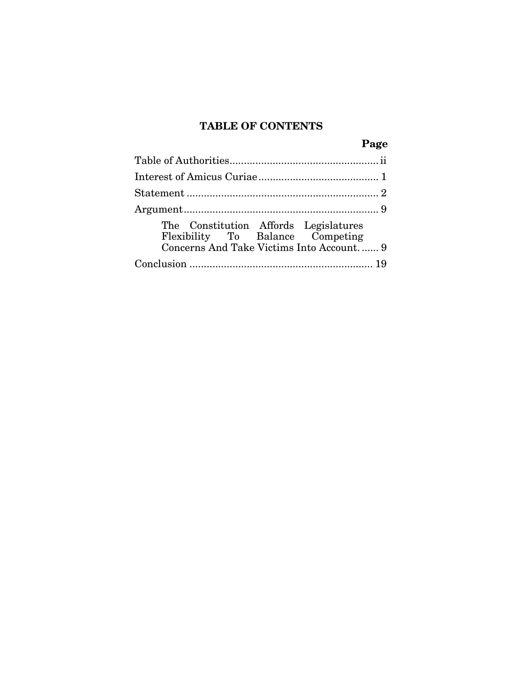## **TABLE OF CONTENTS**

|                                                                                                                       | Page |
|-----------------------------------------------------------------------------------------------------------------------|------|
|                                                                                                                       |      |
|                                                                                                                       |      |
|                                                                                                                       |      |
|                                                                                                                       |      |
| The Constitution Affords Legislatures<br>Flexibility To Balance Competing<br>Concerns And Take Victims Into Account 9 |      |
|                                                                                                                       |      |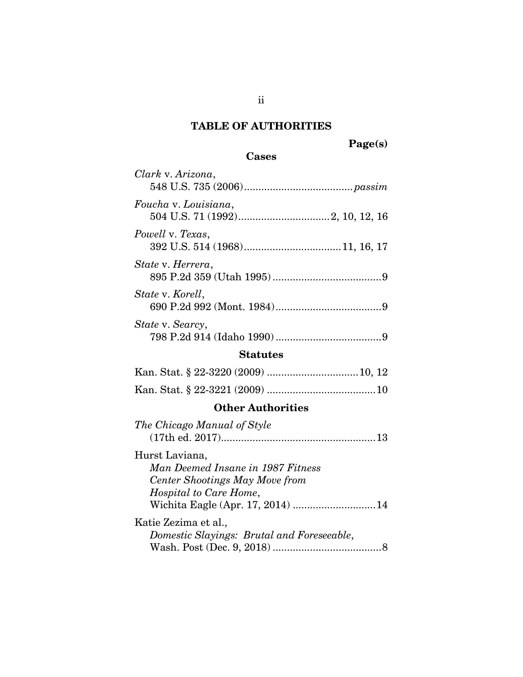## **TABLE OF AUTHORITIES**

## **Cases**

| Clark v. Arizona,                                                                                                                                           |
|-------------------------------------------------------------------------------------------------------------------------------------------------------------|
| Foucha v. Louisiana,                                                                                                                                        |
| Powell v. Texas,                                                                                                                                            |
| State v. Herrera,                                                                                                                                           |
| State v. Korell,                                                                                                                                            |
| State v. Searcy,                                                                                                                                            |
| <b>Statutes</b>                                                                                                                                             |
|                                                                                                                                                             |
|                                                                                                                                                             |
| <b>Other Authorities</b>                                                                                                                                    |
| The Chicago Manual of Style                                                                                                                                 |
| Hurst Laviana,<br>Man Deemed Insane in 1987 Fitness<br>Center Shootings May Move from<br><i>Hospital to Care Home,</i><br>Wichita Eagle (Apr. 17, 2014)  14 |
| Katie Zezima et al.,<br>Domestic Slayings: Brutal and Foreseeable,                                                                                          |
|                                                                                                                                                             |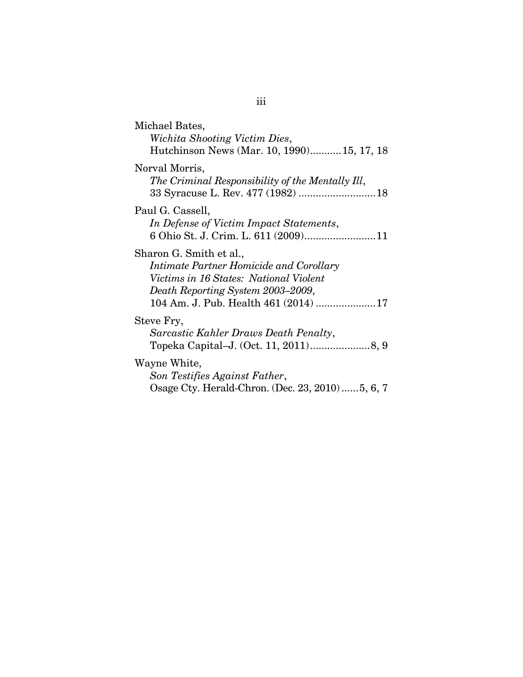| Michael Bates,<br>Wichita Shooting Victim Dies,<br>Hutchinson News (Mar. 10, 1990)15, 17, 18                                                                                                     |
|--------------------------------------------------------------------------------------------------------------------------------------------------------------------------------------------------|
| Norval Morris,<br>The Criminal Responsibility of the Mentally Ill,<br>33 Syracuse L. Rev. 477 (1982)  18                                                                                         |
| Paul G. Cassell,<br>In Defense of Victim Impact Statements,<br>6 Ohio St. J. Crim. L. 611 (2009)11                                                                                               |
| Sharon G. Smith et al.,<br><i>Intimate Partner Homicide and Corollary</i><br>Victims in 16 States: National Violent<br>Death Reporting System 2003–2009,<br>104 Am. J. Pub. Health 461 (2014) 17 |
| Steve Fry,<br>Sarcastic Kahler Draws Death Penalty,                                                                                                                                              |
| Wayne White,<br>Son Testifies Against Father,<br>Osage Cty. Herald-Chron. (Dec. 23, 2010)5, 6, 7                                                                                                 |

# iii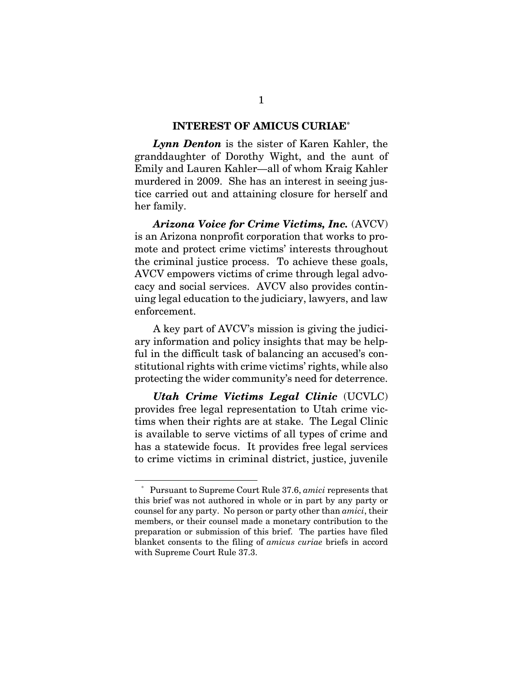#### **INTEREST OF AMICUS CURIAE\***

*Lynn Denton* is the sister of Karen Kahler, the granddaughter of Dorothy Wight, and the aunt of Emily and Lauren Kahler—all of whom Kraig Kahler murdered in 2009. She has an interest in seeing justice carried out and attaining closure for herself and her family.

*Arizona Voice for Crime Victims, Inc.* (AVCV) is an Arizona nonprofit corporation that works to promote and protect crime victims' interests throughout the criminal justice process. To achieve these goals, AVCV empowers victims of crime through legal advocacy and social services. AVCV also provides continuing legal education to the judiciary, lawyers, and law enforcement.

A key part of AVCV's mission is giving the judiciary information and policy insights that may be helpful in the difficult task of balancing an accused's constitutional rights with crime victims' rights, while also protecting the wider community's need for deterrence.

*Utah Crime Victims Legal Clinic* (UCVLC) provides free legal representation to Utah crime victims when their rights are at stake. The Legal Clinic is available to serve victims of all types of crime and has a statewide focus. It provides free legal services to crime victims in criminal district, justice, juvenile

 <sup>\*</sup> Pursuant to Supreme Court Rule 37.6, *amici* represents that this brief was not authored in whole or in part by any party or counsel for any party. No person or party other than *amici*, their members, or their counsel made a monetary contribution to the preparation or submission of this brief. The parties have filed blanket consents to the filing of *amicus curiae* briefs in accord with Supreme Court Rule 37.3.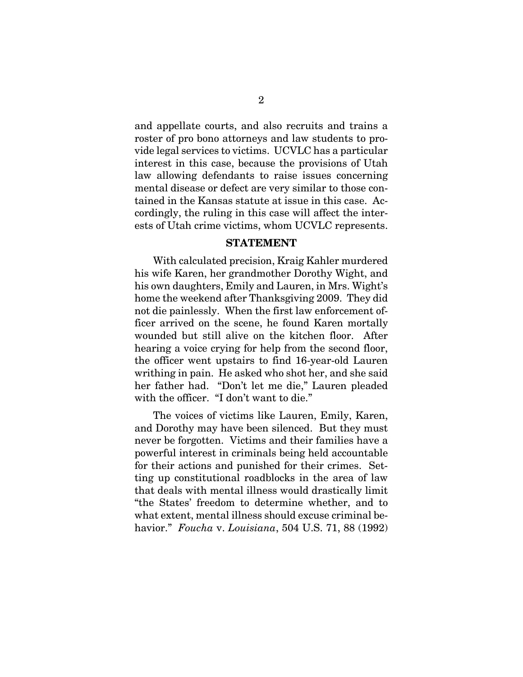and appellate courts, and also recruits and trains a roster of pro bono attorneys and law students to provide legal services to victims. UCVLC has a particular interest in this case, because the provisions of Utah law allowing defendants to raise issues concerning mental disease or defect are very similar to those contained in the Kansas statute at issue in this case. Accordingly, the ruling in this case will affect the interests of Utah crime victims, whom UCVLC represents.

#### **STATEMENT**

With calculated precision, Kraig Kahler murdered his wife Karen, her grandmother Dorothy Wight, and his own daughters, Emily and Lauren, in Mrs. Wight's home the weekend after Thanksgiving 2009. They did not die painlessly. When the first law enforcement officer arrived on the scene, he found Karen mortally wounded but still alive on the kitchen floor. After hearing a voice crying for help from the second floor, the officer went upstairs to find 16-year-old Lauren writhing in pain. He asked who shot her, and she said her father had. "Don't let me die," Lauren pleaded with the officer. "I don't want to die."

The voices of victims like Lauren, Emily, Karen, and Dorothy may have been silenced. But they must never be forgotten. Victims and their families have a powerful interest in criminals being held accountable for their actions and punished for their crimes. Setting up constitutional roadblocks in the area of law that deals with mental illness would drastically limit "the States' freedom to determine whether, and to what extent, mental illness should excuse criminal behavior." *Foucha* v. *Louisiana*, 504 U.S. 71, 88 (1992)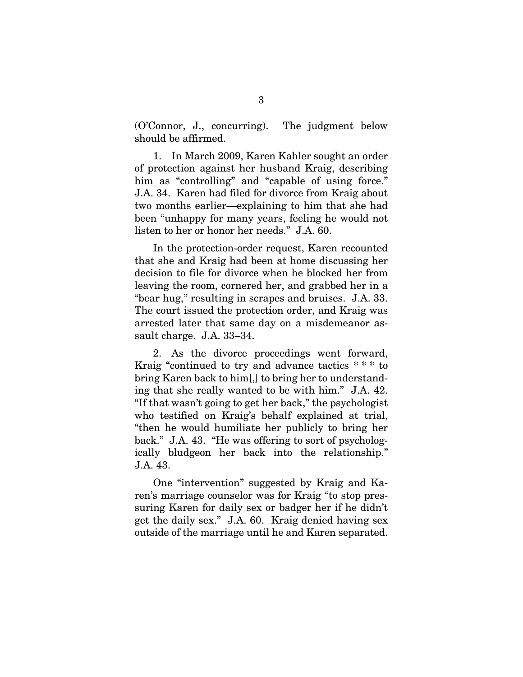(O'Connor, J., concurring). The judgment below should be affirmed.

1. In March 2009, Karen Kahler sought an order of protection against her husband Kraig, describing him as "controlling" and "capable of using force." J.A. 34. Karen had filed for divorce from Kraig about two months earlier—explaining to him that she had been "unhappy for many years, feeling he would not listen to her or honor her needs." J.A. 60.

In the protection-order request, Karen recounted that she and Kraig had been at home discussing her decision to file for divorce when he blocked her from leaving the room, cornered her, and grabbed her in a "bear hug," resulting in scrapes and bruises. J.A. 33. The court issued the protection order, and Kraig was arrested later that same day on a misdemeanor assault charge. J.A. 33–34.

2. As the divorce proceedings went forward, Kraig "continued to try and advance tactics \* \* \* to bring Karen back to him[,] to bring her to understanding that she really wanted to be with him." J.A. 42. "If that wasn't going to get her back," the psychologist who testified on Kraig's behalf explained at trial, "then he would humiliate her publicly to bring her back." J.A. 43. "He was offering to sort of psychologically bludgeon her back into the relationship." J.A. 43.

One "intervention" suggested by Kraig and Karen's marriage counselor was for Kraig "to stop pressuring Karen for daily sex or badger her if he didn't get the daily sex." J.A. 60. Kraig denied having sex outside of the marriage until he and Karen separated.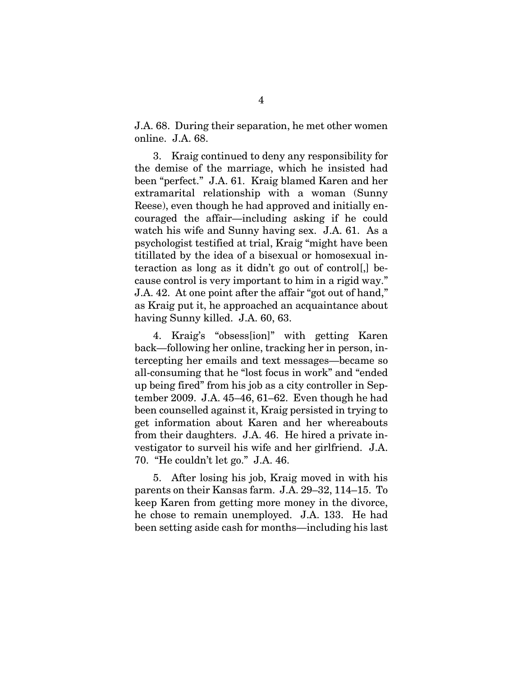J.A. 68. During their separation, he met other women online. J.A. 68.

3. Kraig continued to deny any responsibility for the demise of the marriage, which he insisted had been "perfect." J.A. 61. Kraig blamed Karen and her extramarital relationship with a woman (Sunny Reese), even though he had approved and initially encouraged the affair—including asking if he could watch his wife and Sunny having sex. J.A. 61. As a psychologist testified at trial, Kraig "might have been titillated by the idea of a bisexual or homosexual interaction as long as it didn't go out of control[,] because control is very important to him in a rigid way." J.A. 42. At one point after the affair "got out of hand," as Kraig put it, he approached an acquaintance about having Sunny killed. J.A. 60, 63.

4. Kraig's "obsess[ion]" with getting Karen back—following her online, tracking her in person, intercepting her emails and text messages—became so all-consuming that he "lost focus in work" and "ended up being fired" from his job as a city controller in September 2009. J.A. 45–46, 61–62. Even though he had been counselled against it, Kraig persisted in trying to get information about Karen and her whereabouts from their daughters. J.A. 46. He hired a private investigator to surveil his wife and her girlfriend. J.A. 70. "He couldn't let go." J.A. 46.

5. After losing his job, Kraig moved in with his parents on their Kansas farm. J.A. 29–32, 114–15. To keep Karen from getting more money in the divorce, he chose to remain unemployed. J.A. 133. He had been setting aside cash for months—including his last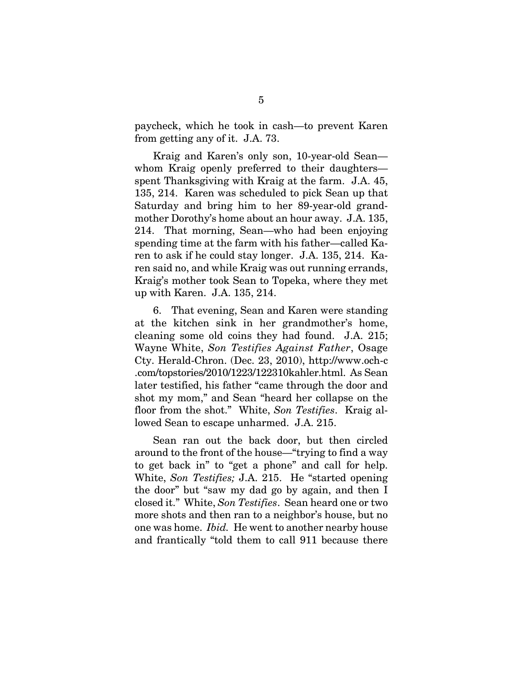paycheck, which he took in cash—to prevent Karen from getting any of it. J.A. 73.

Kraig and Karen's only son, 10-year-old Sean whom Kraig openly preferred to their daughters spent Thanksgiving with Kraig at the farm. J.A. 45, 135, 214. Karen was scheduled to pick Sean up that Saturday and bring him to her 89-year-old grandmother Dorothy's home about an hour away. J.A. 135, 214. That morning, Sean—who had been enjoying spending time at the farm with his father—called Karen to ask if he could stay longer. J.A. 135, 214. Karen said no, and while Kraig was out running errands, Kraig's mother took Sean to Topeka, where they met up with Karen. J.A. 135, 214.

6. That evening, Sean and Karen were standing at the kitchen sink in her grandmother's home, cleaning some old coins they had found. J.A. 215; Wayne White, *Son Testifies Against Father*, Osage Cty. Herald-Chron. (Dec. 23, 2010), http://www.och-c .com/topstories/2010/1223/122310kahler.html. As Sean later testified, his father "came through the door and shot my mom," and Sean "heard her collapse on the floor from the shot." White, *Son Testifies*. Kraig allowed Sean to escape unharmed. J.A. 215.

Sean ran out the back door, but then circled around to the front of the house—"trying to find a way to get back in" to "get a phone" and call for help. White, *Son Testifies;* J.A. 215. He "started opening the door" but "saw my dad go by again, and then I closed it." White, *Son Testifies*. Sean heard one or two more shots and then ran to a neighbor's house, but no one was home. *Ibid.* He went to another nearby house and frantically "told them to call 911 because there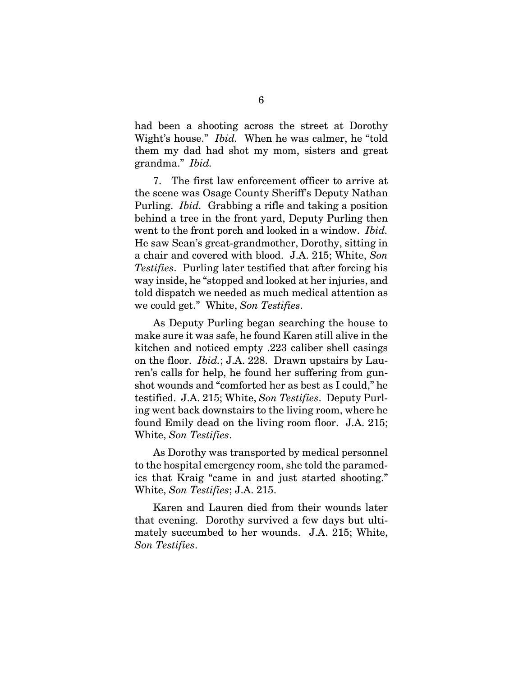had been a shooting across the street at Dorothy Wight's house." *Ibid.* When he was calmer, he "told them my dad had shot my mom, sisters and great grandma." *Ibid.*

7. The first law enforcement officer to arrive at the scene was Osage County Sheriff's Deputy Nathan Purling. *Ibid.* Grabbing a rifle and taking a position behind a tree in the front yard, Deputy Purling then went to the front porch and looked in a window. *Ibid.*  He saw Sean's great-grandmother, Dorothy, sitting in a chair and covered with blood. J.A. 215; White, *Son Testifies*. Purling later testified that after forcing his way inside, he "stopped and looked at her injuries, and told dispatch we needed as much medical attention as we could get." White, *Son Testifies*.

As Deputy Purling began searching the house to make sure it was safe, he found Karen still alive in the kitchen and noticed empty .223 caliber shell casings on the floor. *Ibid.*; J.A. 228. Drawn upstairs by Lauren's calls for help, he found her suffering from gunshot wounds and "comforted her as best as I could," he testified. J.A. 215; White, *Son Testifies*. Deputy Purling went back downstairs to the living room, where he found Emily dead on the living room floor. J.A. 215; White, *Son Testifies*.

As Dorothy was transported by medical personnel to the hospital emergency room, she told the paramedics that Kraig "came in and just started shooting." White, *Son Testifies*; J.A. 215.

Karen and Lauren died from their wounds later that evening. Dorothy survived a few days but ultimately succumbed to her wounds. J.A. 215; White, *Son Testifies*.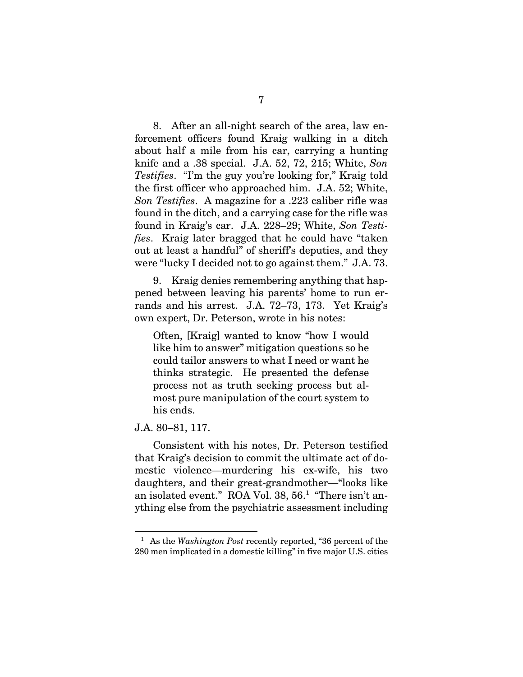8. After an all-night search of the area, law enforcement officers found Kraig walking in a ditch about half a mile from his car, carrying a hunting knife and a .38 special. J.A. 52, 72, 215; White, *Son Testifies*. "I'm the guy you're looking for," Kraig told the first officer who approached him. J.A. 52; White, *Son Testifies*. A magazine for a .223 caliber rifle was found in the ditch, and a carrying case for the rifle was found in Kraig's car. J.A. 228–29; White, *Son Testifies*. Kraig later bragged that he could have "taken out at least a handful" of sheriff's deputies, and they were "lucky I decided not to go against them." J.A. 73.

9. Kraig denies remembering anything that happened between leaving his parents' home to run errands and his arrest. J.A. 72–73, 173. Yet Kraig's own expert, Dr. Peterson, wrote in his notes:

Often, [Kraig] wanted to know "how I would like him to answer" mitigation questions so he could tailor answers to what I need or want he thinks strategic. He presented the defense process not as truth seeking process but almost pure manipulation of the court system to his ends.

#### J.A. 80–81, 117.

 $\overline{a}$ 

Consistent with his notes, Dr. Peterson testified that Kraig's decision to commit the ultimate act of domestic violence—murdering his ex-wife, his two daughters, and their great-grandmother—"looks like an isolated event." ROA Vol. 38, 56.<sup>1</sup> "There isn't anything else from the psychiatric assessment including

<sup>&</sup>lt;sup>1</sup> As the *Washington Post* recently reported, "36 percent of the 280 men implicated in a domestic killing" in five major U.S. cities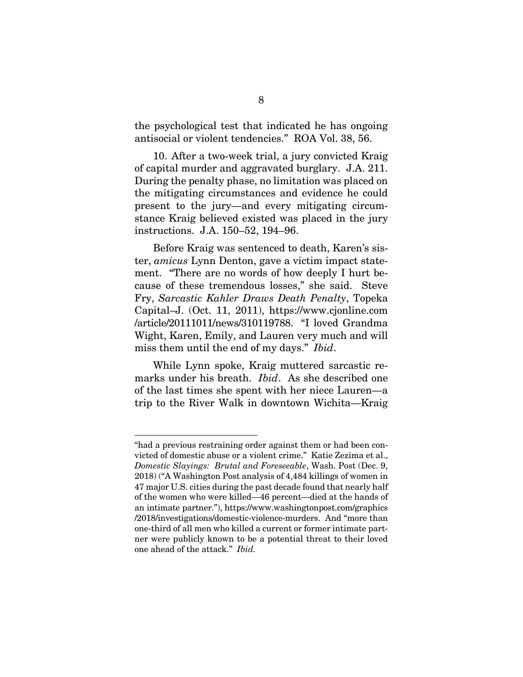the psychological test that indicated he has ongoing antisocial or violent tendencies." ROA Vol. 38, 56.

10. After a two-week trial, a jury convicted Kraig of capital murder and aggravated burglary. J.A. 211. During the penalty phase, no limitation was placed on the mitigating circumstances and evidence he could present to the jury—and every mitigating circumstance Kraig believed existed was placed in the jury instructions. J.A. 150–52, 194–96.

Before Kraig was sentenced to death, Karen's sister, *amicus* Lynn Denton, gave a victim impact statement. "There are no words of how deeply I hurt because of these tremendous losses," she said. Steve Fry, *Sarcastic Kahler Draws Death Penalty*, Topeka Capital–J. (Oct. 11, 2011), https://www.cjonline.com /article/20111011/news/310119788. "I loved Grandma Wight, Karen, Emily, and Lauren very much and will miss them until the end of my days." *Ibid*.

While Lynn spoke, Kraig muttered sarcastic remarks under his breath. *Ibid*. As she described one of the last times she spent with her niece Lauren—a trip to the River Walk in downtown Wichita—Kraig

 $\overline{a}$ 

<sup>&</sup>quot;had a previous restraining order against them or had been convicted of domestic abuse or a violent crime." Katie Zezima et al., *Domestic Slayings: Brutal and Foreseeable*, Wash. Post (Dec. 9, 2018) ("A Washington Post analysis of 4,484 killings of women in 47 major U.S. cities during the past decade found that nearly half of the women who were killed—46 percent—died at the hands of an intimate partner."), https://www.washingtonpost.com/graphics /2018/investigations/domestic-violence-murders. And "more than one-third of all men who killed a current or former intimate partner were publicly known to be a potential threat to their loved one ahead of the attack." *Ibid.*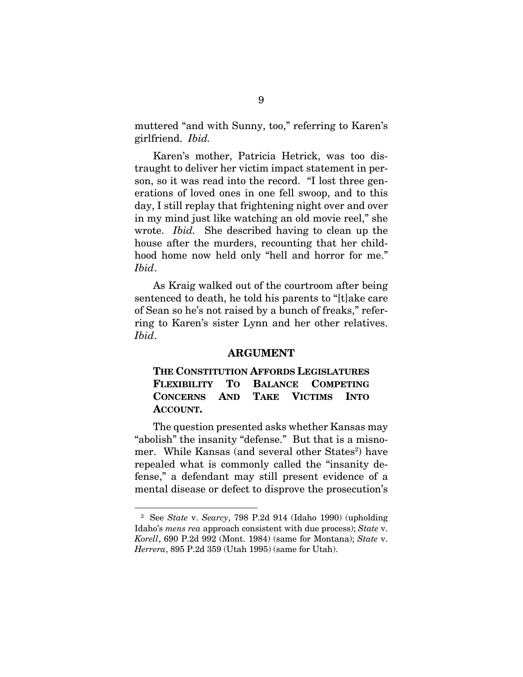muttered "and with Sunny, too," referring to Karen's girlfriend. *Ibid.*

Karen's mother, Patricia Hetrick, was too distraught to deliver her victim impact statement in person, so it was read into the record. "I lost three generations of loved ones in one fell swoop, and to this day, I still replay that frightening night over and over in my mind just like watching an old movie reel," she wrote. *Ibid.* She described having to clean up the house after the murders, recounting that her childhood home now held only "hell and horror for me." *Ibid*.

As Kraig walked out of the courtroom after being sentenced to death, he told his parents to "[t]ake care of Sean so he's not raised by a bunch of freaks," referring to Karen's sister Lynn and her other relatives. *Ibid*.

#### **ARGUMENT**

### **THE CONSTITUTION AFFORDS LEGISLATURES FLEXIBILITY TO BALANCE COMPETING CONCERNS AND TAKE VICTIMS INTO ACCOUNT.**

The question presented asks whether Kansas may "abolish" the insanity "defense." But that is a misnomer. While Kansas (and several other States<sup>2</sup>) have repealed what is commonly called the "insanity defense," a defendant may still present evidence of a mental disease or defect to disprove the prosecution's

 $\overline{a}$ 

<sup>2</sup> See *State* v. *Searcy*, 798 P.2d 914 (Idaho 1990) (upholding Idaho's *mens rea* approach consistent with due process); *State* v. *Korell*, 690 P.2d 992 (Mont. 1984) (same for Montana); *State* v. *Herrera*, 895 P.2d 359 (Utah 1995) (same for Utah).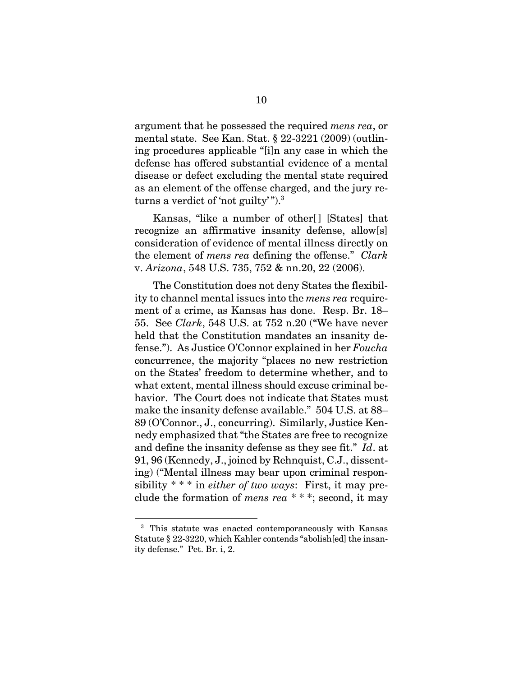argument that he possessed the required *mens rea*, or mental state. See Kan. Stat. § 22-3221 (2009) (outlining procedures applicable "[i]n any case in which the defense has offered substantial evidence of a mental disease or defect excluding the mental state required as an element of the offense charged, and the jury returns a verdict of 'not guilty'").<sup>3</sup>

Kansas, "like a number of other<sup>[]</sup> [States] that recognize an affirmative insanity defense, allow[s] consideration of evidence of mental illness directly on the element of *mens rea* defining the offense." *Clark* v. *Arizona*, 548 U.S. 735, 752 & nn.20, 22 (2006).

The Constitution does not deny States the flexibility to channel mental issues into the *mens rea* requirement of a crime, as Kansas has done. Resp. Br. 18– 55. See *Clark*, 548 U.S. at 752 n.20 ("We have never held that the Constitution mandates an insanity defense."). As Justice O'Connor explained in her *Foucha*  concurrence, the majority "places no new restriction on the States' freedom to determine whether, and to what extent, mental illness should excuse criminal behavior. The Court does not indicate that States must make the insanity defense available." 504 U.S. at 88– 89 (O'Connor., J., concurring). Similarly, Justice Kennedy emphasized that "the States are free to recognize and define the insanity defense as they see fit." *Id*. at 91, 96 (Kennedy, J., joined by Rehnquist, C.J., dissenting) ("Mental illness may bear upon criminal responsibility \* \* \* in *either of two ways*: First, it may preclude the formation of *mens rea* \* \* \*; second, it may

<sup>3</sup> This statute was enacted contemporaneously with Kansas Statute § 22-3220, which Kahler contends "abolish[ed] the insanity defense." Pet. Br. i, 2.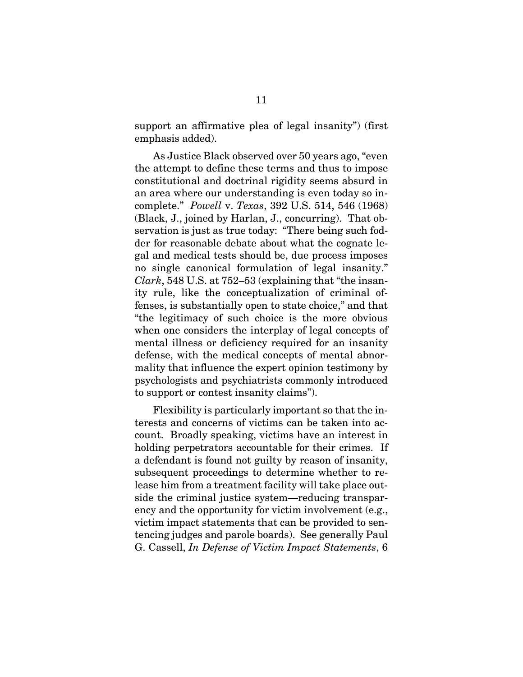support an affirmative plea of legal insanity") (first emphasis added).

As Justice Black observed over 50 years ago, "even the attempt to define these terms and thus to impose constitutional and doctrinal rigidity seems absurd in an area where our understanding is even today so incomplete." *Powell* v. *Texas*, 392 U.S. 514, 546 (1968) (Black, J., joined by Harlan, J., concurring). That observation is just as true today: "There being such fodder for reasonable debate about what the cognate legal and medical tests should be, due process imposes no single canonical formulation of legal insanity." *Clark*, 548 U.S. at 752–53 (explaining that "the insanity rule, like the conceptualization of criminal offenses, is substantially open to state choice," and that "the legitimacy of such choice is the more obvious when one considers the interplay of legal concepts of mental illness or deficiency required for an insanity defense, with the medical concepts of mental abnormality that influence the expert opinion testimony by psychologists and psychiatrists commonly introduced to support or contest insanity claims").

Flexibility is particularly important so that the interests and concerns of victims can be taken into account. Broadly speaking, victims have an interest in holding perpetrators accountable for their crimes. If a defendant is found not guilty by reason of insanity, subsequent proceedings to determine whether to release him from a treatment facility will take place outside the criminal justice system—reducing transparency and the opportunity for victim involvement (e.g., victim impact statements that can be provided to sentencing judges and parole boards). See generally Paul G. Cassell, *In Defense of Victim Impact Statements*, 6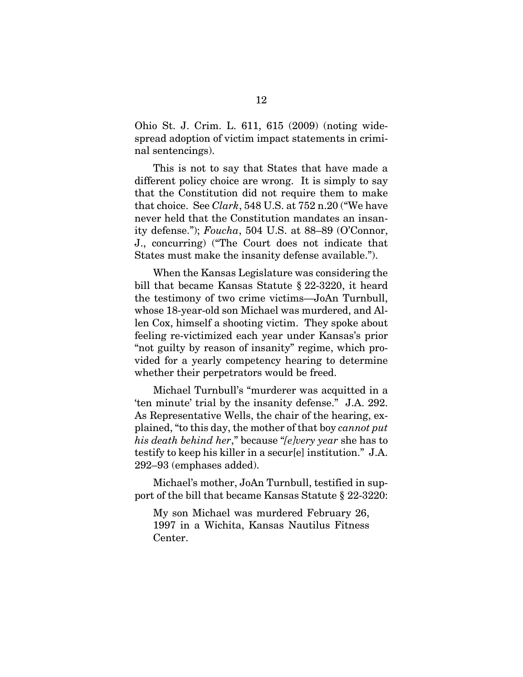Ohio St. J. Crim. L. 611, 615 (2009) (noting widespread adoption of victim impact statements in criminal sentencings).

This is not to say that States that have made a different policy choice are wrong. It is simply to say that the Constitution did not require them to make that choice. See *Clark*, 548 U.S. at 752 n.20 ("We have never held that the Constitution mandates an insanity defense."); *Foucha*, 504 U.S. at 88–89 (O'Connor, J., concurring) ("The Court does not indicate that States must make the insanity defense available.").

When the Kansas Legislature was considering the bill that became Kansas Statute § 22-3220, it heard the testimony of two crime victims—JoAn Turnbull, whose 18-year-old son Michael was murdered, and Allen Cox, himself a shooting victim. They spoke about feeling re-victimized each year under Kansas's prior "not guilty by reason of insanity" regime, which provided for a yearly competency hearing to determine whether their perpetrators would be freed.

Michael Turnbull's "murderer was acquitted in a 'ten minute' trial by the insanity defense." J.A. 292. As Representative Wells, the chair of the hearing, explained, "to this day, the mother of that boy *cannot put his death behind her*," because "*[e]very year* she has to testify to keep his killer in a secur[e] institution." J.A. 292–93 (emphases added).

Michael's mother, JoAn Turnbull, testified in support of the bill that became Kansas Statute § 22-3220:

My son Michael was murdered February 26, 1997 in a Wichita, Kansas Nautilus Fitness Center.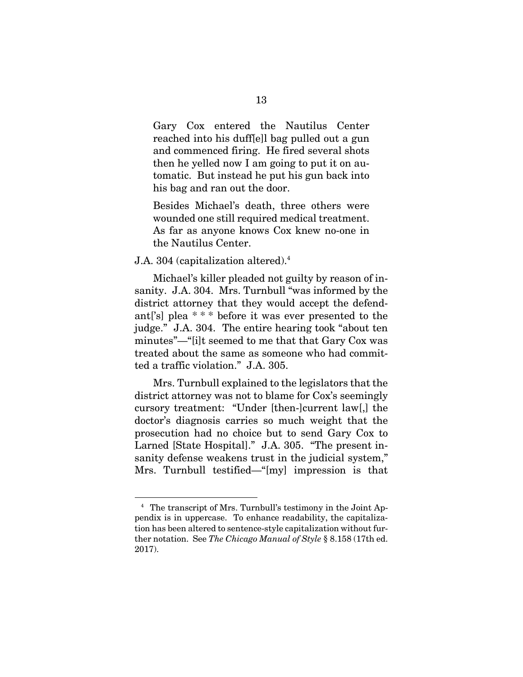Gary Cox entered the Nautilus Center reached into his duff[e]l bag pulled out a gun and commenced firing. He fired several shots then he yelled now I am going to put it on automatic. But instead he put his gun back into his bag and ran out the door.

Besides Michael's death, three others were wounded one still required medical treatment. As far as anyone knows Cox knew no-one in the Nautilus Center.

#### J.A. 304 (capitalization altered).4

Michael's killer pleaded not guilty by reason of insanity. J.A. 304. Mrs. Turnbull "was informed by the district attorney that they would accept the defendant['s] plea \* \* \* before it was ever presented to the judge." J.A. 304. The entire hearing took "about ten minutes"—"[i]t seemed to me that that Gary Cox was treated about the same as someone who had committed a traffic violation." J.A. 305.

Mrs. Turnbull explained to the legislators that the district attorney was not to blame for Cox's seemingly cursory treatment: "Under [then-]current law[,] the doctor's diagnosis carries so much weight that the prosecution had no choice but to send Gary Cox to Larned [State Hospital]." J.A. 305. "The present insanity defense weakens trust in the judicial system," Mrs. Turnbull testified—"[my] impression is that

<sup>4</sup> The transcript of Mrs. Turnbull's testimony in the Joint Appendix is in uppercase. To enhance readability, the capitalization has been altered to sentence-style capitalization without further notation. See *The Chicago Manual of Style* § 8.158 (17th ed. 2017).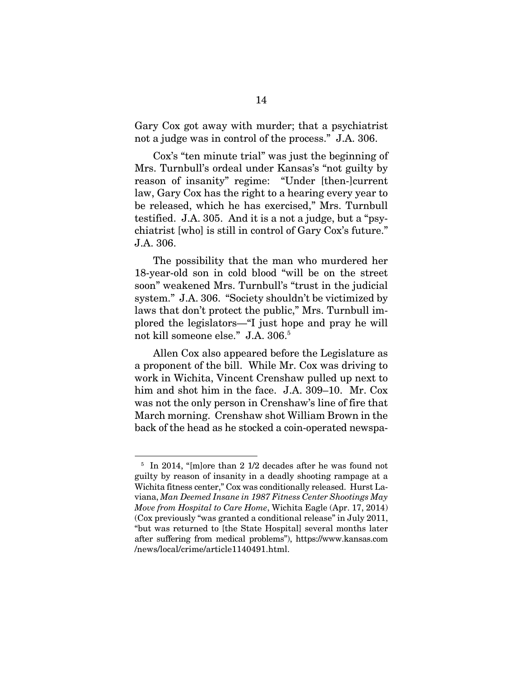Gary Cox got away with murder; that a psychiatrist not a judge was in control of the process." J.A. 306.

Cox's "ten minute trial" was just the beginning of Mrs. Turnbull's ordeal under Kansas's "not guilty by reason of insanity" regime: "Under [then-]current law, Gary Cox has the right to a hearing every year to be released, which he has exercised," Mrs. Turnbull testified. J.A. 305. And it is a not a judge, but a "psychiatrist [who] is still in control of Gary Cox's future." J.A. 306.

The possibility that the man who murdered her 18-year-old son in cold blood "will be on the street soon" weakened Mrs. Turnbull's "trust in the judicial system." J.A. 306. "Society shouldn't be victimized by laws that don't protect the public," Mrs. Turnbull implored the legislators—"I just hope and pray he will not kill someone else." J.A. 306.5

Allen Cox also appeared before the Legislature as a proponent of the bill. While Mr. Cox was driving to work in Wichita, Vincent Crenshaw pulled up next to him and shot him in the face. J.A. 309–10. Mr. Cox was not the only person in Crenshaw's line of fire that March morning. Crenshaw shot William Brown in the back of the head as he stocked a coin-operated newspa-

 $\overline{a}$ 

<sup>&</sup>lt;sup>5</sup> In 2014, "[m]ore than 2 1/2 decades after he was found not guilty by reason of insanity in a deadly shooting rampage at a Wichita fitness center," Cox was conditionally released. Hurst Laviana, *Man Deemed Insane in 1987 Fitness Center Shootings May Move from Hospital to Care Home*, Wichita Eagle (Apr. 17, 2014) (Cox previously "was granted a conditional release" in July 2011, "but was returned to [the State Hospital] several months later after suffering from medical problems"), https://www.kansas.com /news/local/crime/article1140491.html.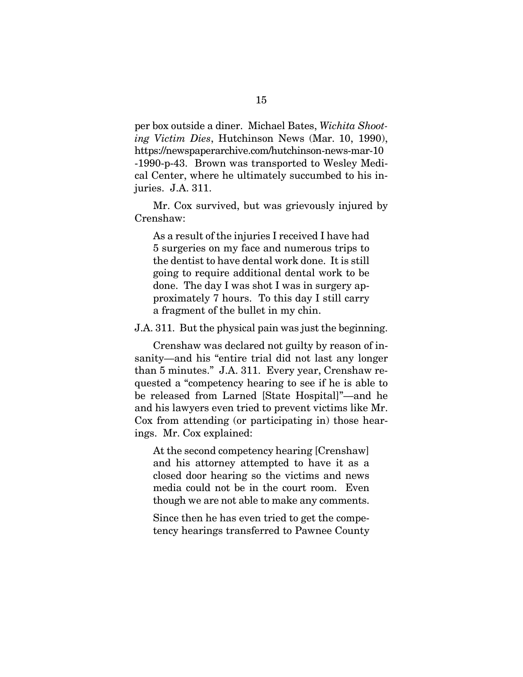per box outside a diner. Michael Bates, *Wichita Shooting Victim Dies*, Hutchinson News (Mar. 10, 1990), https://newspaperarchive.com/hutchinson-news-mar-10 -1990-p-43. Brown was transported to Wesley Medical Center, where he ultimately succumbed to his injuries. J.A. 311.

Mr. Cox survived, but was grievously injured by Crenshaw:

As a result of the injuries I received I have had 5 surgeries on my face and numerous trips to the dentist to have dental work done. It is still going to require additional dental work to be done. The day I was shot I was in surgery approximately 7 hours. To this day I still carry a fragment of the bullet in my chin.

J.A. 311. But the physical pain was just the beginning.

Crenshaw was declared not guilty by reason of insanity—and his "entire trial did not last any longer than 5 minutes." J.A. 311. Every year, Crenshaw requested a "competency hearing to see if he is able to be released from Larned [State Hospital]"—and he and his lawyers even tried to prevent victims like Mr. Cox from attending (or participating in) those hearings. Mr. Cox explained:

At the second competency hearing [Crenshaw] and his attorney attempted to have it as a closed door hearing so the victims and news media could not be in the court room. Even though we are not able to make any comments.

Since then he has even tried to get the competency hearings transferred to Pawnee County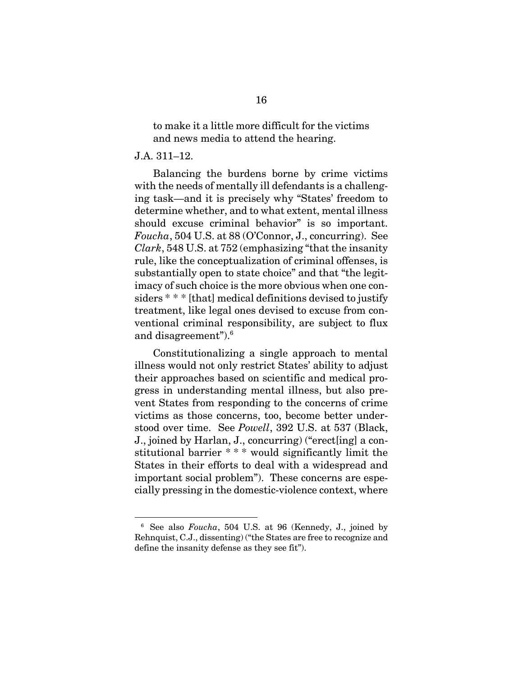to make it a little more difficult for the victims and news media to attend the hearing.

#### J.A. 311–12.

 $\overline{a}$ 

Balancing the burdens borne by crime victims with the needs of mentally ill defendants is a challenging task—and it is precisely why "States' freedom to determine whether, and to what extent, mental illness should excuse criminal behavior" is so important. *Foucha*, 504 U.S. at 88 (O'Connor, J., concurring). See *Clark*, 548 U.S. at 752 (emphasizing "that the insanity rule, like the conceptualization of criminal offenses, is substantially open to state choice" and that "the legitimacy of such choice is the more obvious when one considers  $**$  [that] medical definitions devised to justify treatment, like legal ones devised to excuse from conventional criminal responsibility, are subject to flux and disagreement").6

Constitutionalizing a single approach to mental illness would not only restrict States' ability to adjust their approaches based on scientific and medical progress in understanding mental illness, but also prevent States from responding to the concerns of crime victims as those concerns, too, become better understood over time. See *Powell*, 392 U.S. at 537 (Black, J., joined by Harlan, J., concurring) ("erect[ing] a constitutional barrier \* \* \* would significantly limit the States in their efforts to deal with a widespread and important social problem"). These concerns are especially pressing in the domestic-violence context, where

<sup>6</sup> See also *Foucha*, 504 U.S. at 96 (Kennedy, J., joined by Rehnquist, C.J., dissenting) ("the States are free to recognize and define the insanity defense as they see fit").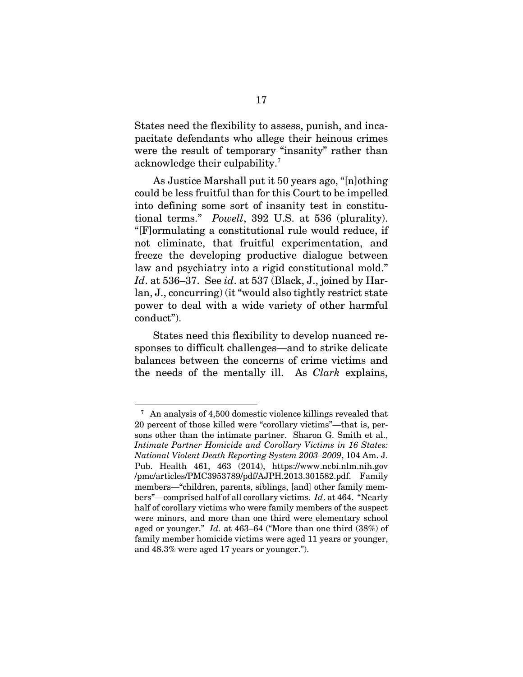States need the flexibility to assess, punish, and incapacitate defendants who allege their heinous crimes were the result of temporary "insanity" rather than acknowledge their culpability.7

As Justice Marshall put it 50 years ago, "[n]othing could be less fruitful than for this Court to be impelled into defining some sort of insanity test in constitutional terms." *Powell*, 392 U.S. at 536 (plurality). "[F]ormulating a constitutional rule would reduce, if not eliminate, that fruitful experimentation, and freeze the developing productive dialogue between law and psychiatry into a rigid constitutional mold." *Id*. at 536–37. See *id*. at 537 (Black, J., joined by Harlan, J., concurring) (it "would also tightly restrict state power to deal with a wide variety of other harmful conduct").

States need this flexibility to develop nuanced responses to difficult challenges—and to strike delicate balances between the concerns of crime victims and the needs of the mentally ill. As *Clark* explains,

 $\overline{a}$ 

<sup>&</sup>lt;sup>7</sup> An analysis of 4,500 domestic violence killings revealed that 20 percent of those killed were "corollary victims"—that is, persons other than the intimate partner. Sharon G. Smith et al., *Intimate Partner Homicide and Corollary Victims in 16 States: National Violent Death Reporting System 2003–2009*, 104 Am. J. Pub. Health 461, 463 (2014), https://www.ncbi.nlm.nih.gov /pmc/articles/PMC3953789/pdf/AJPH.2013.301582.pdf. Family members—"children, parents, siblings, [and] other family members"—comprised half of all corollary victims. *Id*. at 464. "Nearly half of corollary victims who were family members of the suspect were minors, and more than one third were elementary school aged or younger." *Id.* at 463–64 ("More than one third (38%) of family member homicide victims were aged 11 years or younger, and 48.3% were aged 17 years or younger.").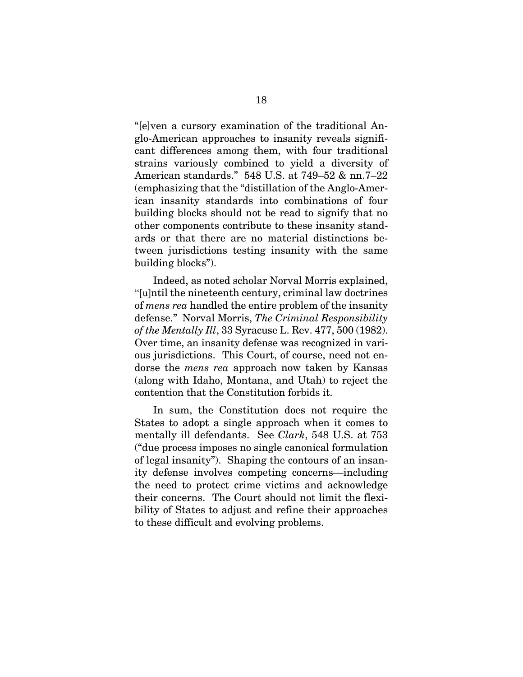"[e]ven a cursory examination of the traditional Anglo-American approaches to insanity reveals significant differences among them, with four traditional strains variously combined to yield a diversity of American standards." 548 U.S. at 749–52 & nn.7–22 (emphasizing that the "distillation of the Anglo-American insanity standards into combinations of four building blocks should not be read to signify that no other components contribute to these insanity standards or that there are no material distinctions between jurisdictions testing insanity with the same building blocks").

Indeed, as noted scholar Norval Morris explained, "[u]ntil the nineteenth century, criminal law doctrines of *mens rea* handled the entire problem of the insanity defense." Norval Morris, *The Criminal Responsibility of the Mentally Ill*, 33 Syracuse L. Rev. 477, 500 (1982). Over time, an insanity defense was recognized in various jurisdictions. This Court, of course, need not endorse the *mens rea* approach now taken by Kansas (along with Idaho, Montana, and Utah) to reject the contention that the Constitution forbids it.

In sum, the Constitution does not require the States to adopt a single approach when it comes to mentally ill defendants. See *Clark*, 548 U.S. at 753 ("due process imposes no single canonical formulation of legal insanity"). Shaping the contours of an insanity defense involves competing concerns—including the need to protect crime victims and acknowledge their concerns. The Court should not limit the flexibility of States to adjust and refine their approaches to these difficult and evolving problems.